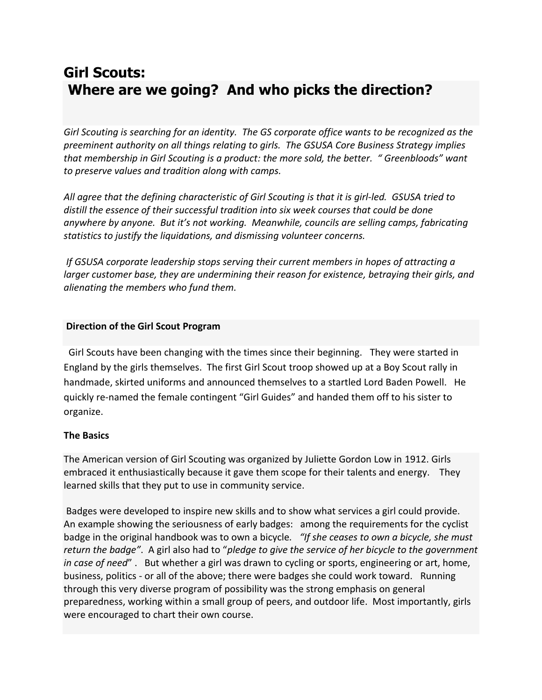# **Girl Scouts: Where are we going? And who picks the direction?**

*Girl Scouting is searching for an identity. The GS corporate office wants to be recognized as the preeminent authority on all things relating to girls. The GSUSA Core Business Strategy implies that membership in Girl Scouting is a product: the more sold, the better. " Greenbloods" want to preserve values and tradition along with camps.* 

*All agree that the defining characteristic of Girl Scouting is that it is girl-led. GSUSA tried to distill the essence of their successful tradition into six week courses that could be done anywhere by anyone. But it's not working. Meanwhile, councils are selling camps, fabricating statistics to justify the liquidations, and dismissing volunteer concerns.* 

*If GSUSA corporate leadership stops serving their current members in hopes of attracting a larger customer base, they are undermining their reason for existence, betraying their girls, and alienating the members who fund them.* 

#### **Direction of the Girl Scout Program**

 Girl Scouts have been changing with the times since their beginning. They were started in England by the girls themselves. The first Girl Scout troop showed up at a Boy Scout rally in handmade, skirted uniforms and announced themselves to a startled Lord Baden Powell. He quickly re-named the female contingent "Girl Guides" and handed them off to his sister to organize.

#### **The Basics**

The American version of Girl Scouting was organized by Juliette Gordon Low in 1912. Girls embraced it enthusiastically because it gave them scope for their talents and energy. They learned skills that they put to use in community service.

Badges were developed to inspire new skills and to show what services a girl could provide. An example showing the seriousness of early badges: among the requirements for the cyclist badge in the original handbook was to own a bicycle*. "If she ceases to own a bicycle, she must return the badge"*. A girl also had to "*pledge to give the service of her bicycle to the government in case of need*" . But whether a girl was drawn to cycling or sports, engineering or art, home, business, politics - or all of the above; there were badges she could work toward. Running through this very diverse program of possibility was the strong emphasis on general preparedness, working within a small group of peers, and outdoor life. Most importantly, girls were encouraged to chart their own course.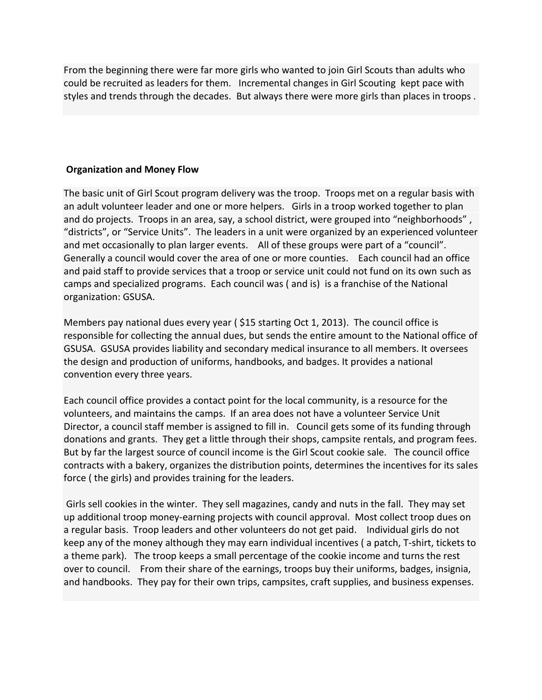From the beginning there were far more girls who wanted to join Girl Scouts than adults who could be recruited as leaders for them. Incremental changes in Girl Scouting kept pace with styles and trends through the decades. But always there were more girls than places in troops .

## **Organization and Money Flow**

The basic unit of Girl Scout program delivery was the troop. Troops met on a regular basis with an adult volunteer leader and one or more helpers. Girls in a troop worked together to plan and do projects. Troops in an area, say, a school district, were grouped into "neighborhoods" , "districts", or "Service Units". The leaders in a unit were organized by an experienced volunteer and met occasionally to plan larger events. All of these groups were part of a "council". Generally a council would cover the area of one or more counties. Each council had an office and paid staff to provide services that a troop or service unit could not fund on its own such as camps and specialized programs. Each council was ( and is) is a franchise of the National organization: GSUSA.

Members pay national dues every year ( \$15 starting Oct 1, 2013). The council office is responsible for collecting the annual dues, but sends the entire amount to the National office of GSUSA. GSUSA provides liability and secondary medical insurance to all members. It oversees the design and production of uniforms, handbooks, and badges. It provides a national convention every three years.

Each council office provides a contact point for the local community, is a resource for the volunteers, and maintains the camps. If an area does not have a volunteer Service Unit Director, a council staff member is assigned to fill in. Council gets some of its funding through donations and grants. They get a little through their shops, campsite rentals, and program fees. But by far the largest source of council income is the Girl Scout cookie sale. The council office contracts with a bakery, organizes the distribution points, determines the incentives for its sales force ( the girls) and provides training for the leaders.

Girls sell cookies in the winter. They sell magazines, candy and nuts in the fall. They may set up additional troop money-earning projects with council approval. Most collect troop dues on a regular basis. Troop leaders and other volunteers do not get paid. Individual girls do not keep any of the money although they may earn individual incentives ( a patch, T-shirt, tickets to a theme park). The troop keeps a small percentage of the cookie income and turns the rest over to council. From their share of the earnings, troops buy their uniforms, badges, insignia, and handbooks. They pay for their own trips, campsites, craft supplies, and business expenses.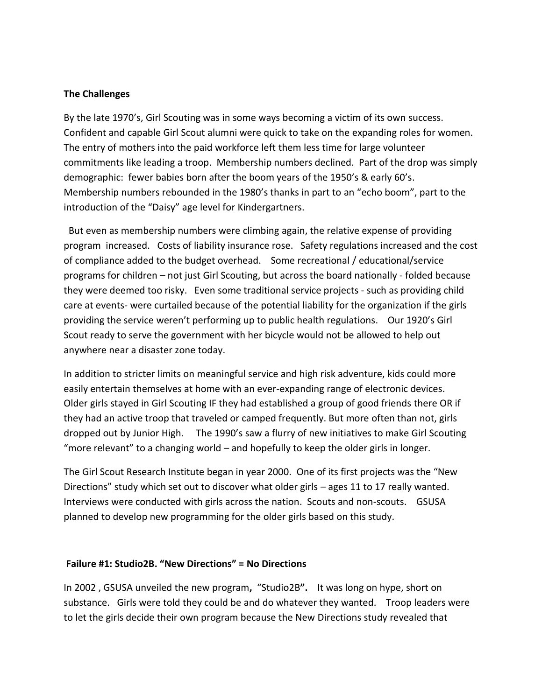#### **The Challenges**

By the late 1970's, Girl Scouting was in some ways becoming a victim of its own success. Confident and capable Girl Scout alumni were quick to take on the expanding roles for women. The entry of mothers into the paid workforce left them less time for large volunteer commitments like leading a troop. Membership numbers declined. Part of the drop was simply demographic: fewer babies born after the boom years of the 1950's & early 60's. Membership numbers rebounded in the 1980's thanks in part to an "echo boom", part to the introduction of the "Daisy" age level for Kindergartners.

But even as membership numbers were climbing again, the relative expense of providing program increased. Costs of liability insurance rose. Safety regulations increased and the cost of compliance added to the budget overhead. Some recreational / educational/service programs for children – not just Girl Scouting, but across the board nationally - folded because they were deemed too risky. Even some traditional service projects - such as providing child care at events- were curtailed because of the potential liability for the organization if the girls providing the service weren't performing up to public health regulations. Our 1920's Girl Scout ready to serve the government with her bicycle would not be allowed to help out anywhere near a disaster zone today.

In addition to stricter limits on meaningful service and high risk adventure, kids could more easily entertain themselves at home with an ever-expanding range of electronic devices. Older girls stayed in Girl Scouting IF they had established a group of good friends there OR if they had an active troop that traveled or camped frequently. But more often than not, girls dropped out by Junior High. The 1990's saw a flurry of new initiatives to make Girl Scouting "more relevant" to a changing world – and hopefully to keep the older girls in longer.

The Girl Scout Research Institute began in year 2000. One of its first projects was the "New Directions" study which set out to discover what older girls – ages 11 to 17 really wanted. Interviews were conducted with girls across the nation. Scouts and non-scouts. GSUSA planned to develop new programming for the older girls based on this study.

#### **Failure #1: Studio2B. "New Directions" = No Directions**

In 2002 , GSUSA unveiled the new program**,** "Studio2B**".** It was long on hype, short on substance. Girls were told they could be and do whatever they wanted. Troop leaders were to let the girls decide their own program because the New Directions study revealed that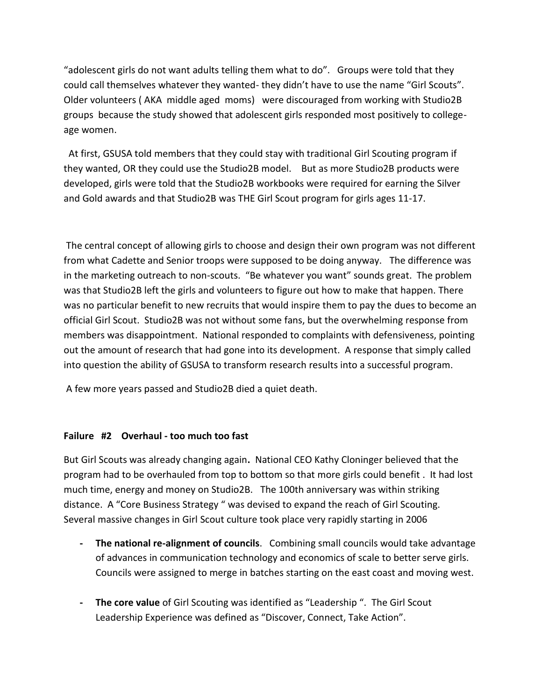"adolescent girls do not want adults telling them what to do". Groups were told that they could call themselves whatever they wanted- they didn't have to use the name "Girl Scouts". Older volunteers ( AKA middle aged moms) were discouraged from working with Studio2B groups because the study showed that adolescent girls responded most positively to collegeage women.

At first, GSUSA told members that they could stay with traditional Girl Scouting program if they wanted, OR they could use the Studio2B model. But as more Studio2B products were developed, girls were told that the Studio2B workbooks were required for earning the Silver and Gold awards and that Studio2B was THE Girl Scout program for girls ages 11-17.

The central concept of allowing girls to choose and design their own program was not different from what Cadette and Senior troops were supposed to be doing anyway. The difference was in the marketing outreach to non-scouts. "Be whatever you want" sounds great. The problem was that Studio2B left the girls and volunteers to figure out how to make that happen. There was no particular benefit to new recruits that would inspire them to pay the dues to become an official Girl Scout. Studio2B was not without some fans, but the overwhelming response from members was disappointment. National responded to complaints with defensiveness, pointing out the amount of research that had gone into its development. A response that simply called into question the ability of GSUSA to transform research results into a successful program.

A few more years passed and Studio2B died a quiet death.

#### **Failure #2 Overhaul - too much too fast**

But Girl Scouts was already changing again**.** National CEO Kathy Cloninger believed that the program had to be overhauled from top to bottom so that more girls could benefit . It had lost much time, energy and money on Studio2B. The 100th anniversary was within striking distance. A "Core Business Strategy " was devised to expand the reach of Girl Scouting. Several massive changes in Girl Scout culture took place very rapidly starting in 2006

- **- The national re-alignment of councils**. Combining small councils would take advantage of advances in communication technology and economics of scale to better serve girls. Councils were assigned to merge in batches starting on the east coast and moving west.
- **- The core value** of Girl Scouting was identified as "Leadership ".The Girl Scout Leadership Experience was defined as "Discover, Connect, Take Action".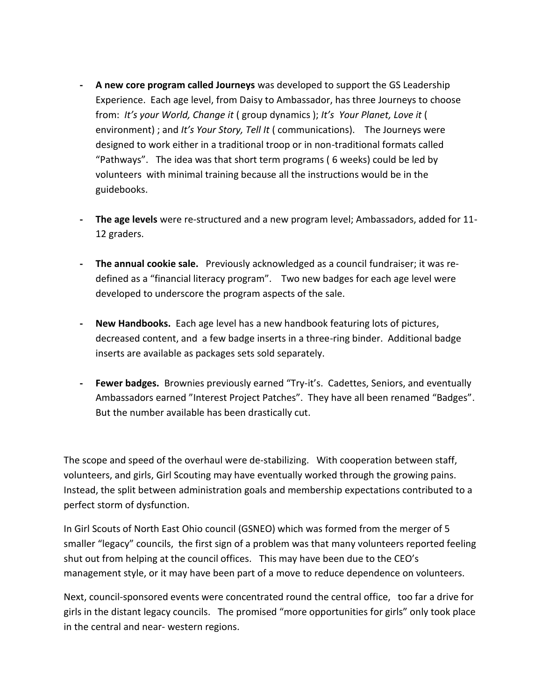- **- A new core program called Journeys** was developed to support the GS Leadership Experience. Each age level, from Daisy to Ambassador, has three Journeys to choose from: *It's your World, Change it* ( group dynamics ); *It's Your Planet, Love it* ( environment) ; and *It's Your Story, Tell It* ( communications). The Journeys were designed to work either in a traditional troop or in non-traditional formats called "Pathways". The idea was that short term programs ( 6 weeks) could be led by volunteers with minimal training because all the instructions would be in the guidebooks.
- **- The age levels** were re-structured and a new program level; Ambassadors, added for 11- 12 graders.
- **- The annual cookie sale.** Previously acknowledged as a council fundraiser; it was redefined as a "financial literacy program". Two new badges for each age level were developed to underscore the program aspects of the sale.
- **- New Handbooks.** Each age level has a new handbook featuring lots of pictures, decreased content, and a few badge inserts in a three-ring binder. Additional badge inserts are available as packages sets sold separately.
- **- Fewer badges.** Brownies previously earned "Try-it's. Cadettes, Seniors, and eventually Ambassadors earned "Interest Project Patches". They have all been renamed "Badges". But the number available has been drastically cut.

The scope and speed of the overhaul were de-stabilizing. With cooperation between staff, volunteers, and girls, Girl Scouting may have eventually worked through the growing pains. Instead, the split between administration goals and membership expectations contributed to a perfect storm of dysfunction.

In Girl Scouts of North East Ohio council (GSNEO) which was formed from the merger of 5 smaller "legacy" councils, the first sign of a problem was that many volunteers reported feeling shut out from helping at the council offices. This may have been due to the CEO's management style, or it may have been part of a move to reduce dependence on volunteers.

Next, council-sponsored events were concentrated round the central office, too far a drive for girls in the distant legacy councils. The promised "more opportunities for girls" only took place in the central and near- western regions.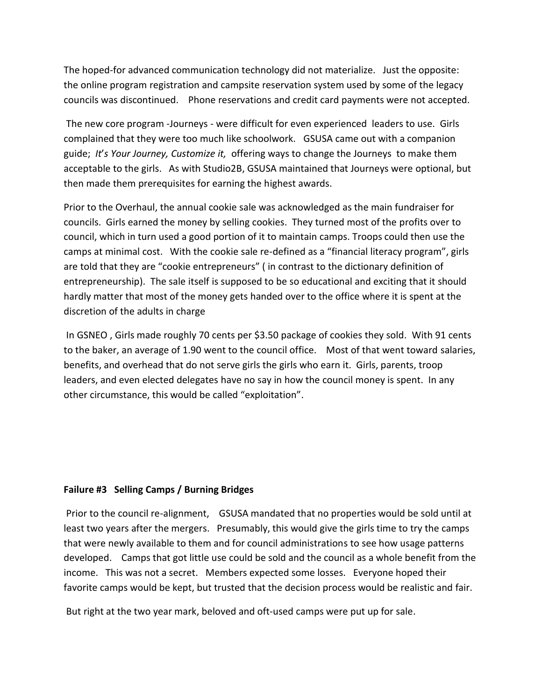The hoped-for advanced communication technology did not materialize. Just the opposite: the online program registration and campsite reservation system used by some of the legacy councils was discontinued. Phone reservations and credit card payments were not accepted.

The new core program -Journeys - were difficult for even experienced leaders to use. Girls complained that they were too much like schoolwork. GSUSA came out with a companion guide; *It*'*s Your Journey, Customize it,* offering ways to change the Journeys to make them acceptable to the girls. As with Studio2B, GSUSA maintained that Journeys were optional, but then made them prerequisites for earning the highest awards.

Prior to the Overhaul, the annual cookie sale was acknowledged as the main fundraiser for councils. Girls earned the money by selling cookies. They turned most of the profits over to council, which in turn used a good portion of it to maintain camps. Troops could then use the camps at minimal cost. With the cookie sale re-defined as a "financial literacy program", girls are told that they are "cookie entrepreneurs" ( in contrast to the dictionary definition of entrepreneurship). The sale itself is supposed to be so educational and exciting that it should hardly matter that most of the money gets handed over to the office where it is spent at the discretion of the adults in charge

In GSNEO , Girls made roughly 70 cents per \$3.50 package of cookies they sold. With 91 cents to the baker, an average of 1.90 went to the council office. Most of that went toward salaries, benefits, and overhead that do not serve girls the girls who earn it. Girls, parents, troop leaders, and even elected delegates have no say in how the council money is spent. In any other circumstance, this would be called "exploitation".

#### **Failure #3 Selling Camps / Burning Bridges**

Prior to the council re-alignment, GSUSA mandated that no properties would be sold until at least two years after the mergers. Presumably, this would give the girls time to try the camps that were newly available to them and for council administrations to see how usage patterns developed. Camps that got little use could be sold and the council as a whole benefit from the income. This was not a secret. Members expected some losses. Everyone hoped their favorite camps would be kept, but trusted that the decision process would be realistic and fair.

But right at the two year mark, beloved and oft-used camps were put up for sale.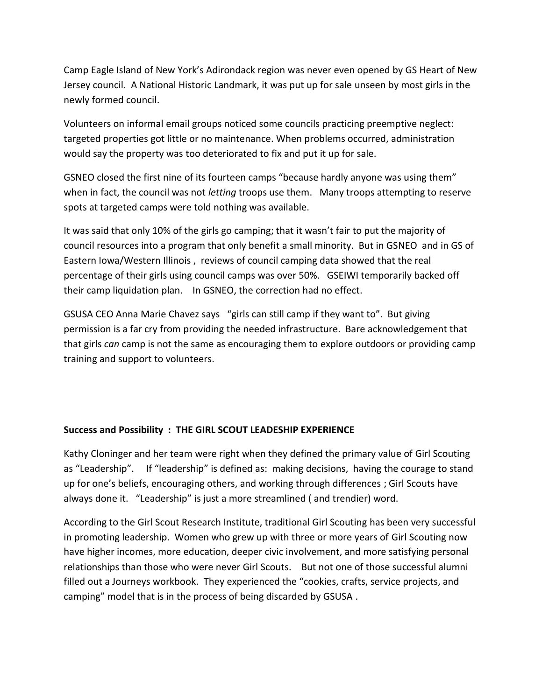Camp Eagle Island of New York's Adirondack region was never even opened by GS Heart of New Jersey council. A National Historic Landmark, it was put up for sale unseen by most girls in the newly formed council.

Volunteers on informal email groups noticed some councils practicing preemptive neglect: targeted properties got little or no maintenance. When problems occurred, administration would say the property was too deteriorated to fix and put it up for sale.

GSNEO closed the first nine of its fourteen camps "because hardly anyone was using them" when in fact, the council was not *letting* troops use them. Many troops attempting to reserve spots at targeted camps were told nothing was available.

It was said that only 10% of the girls go camping; that it wasn't fair to put the majority of council resources into a program that only benefit a small minority. But in GSNEO and in GS of Eastern Iowa/Western Illinois , reviews of council camping data showed that the real percentage of their girls using council camps was over 50%. GSEIWI temporarily backed off their camp liquidation plan. In GSNEO, the correction had no effect.

GSUSA CEO Anna Marie Chavez says "girls can still camp if they want to". But giving permission is a far cry from providing the needed infrastructure. Bare acknowledgement that that girls *can* camp is not the same as encouraging them to explore outdoors or providing camp training and support to volunteers.

## **Success and Possibility : THE GIRL SCOUT LEADESHIP EXPERIENCE**

Kathy Cloninger and her team were right when they defined the primary value of Girl Scouting as "Leadership". If "leadership" is defined as: making decisions, having the courage to stand up for one's beliefs, encouraging others, and working through differences ; Girl Scouts have always done it. "Leadership" is just a more streamlined ( and trendier) word.

According to the Girl Scout Research Institute, traditional Girl Scouting has been very successful in promoting leadership. Women who grew up with three or more years of Girl Scouting now have higher incomes, more education, deeper civic involvement, and more satisfying personal relationships than those who were never Girl Scouts. But not one of those successful alumni filled out a Journeys workbook. They experienced the "cookies, crafts, service projects, and camping" model that is in the process of being discarded by GSUSA .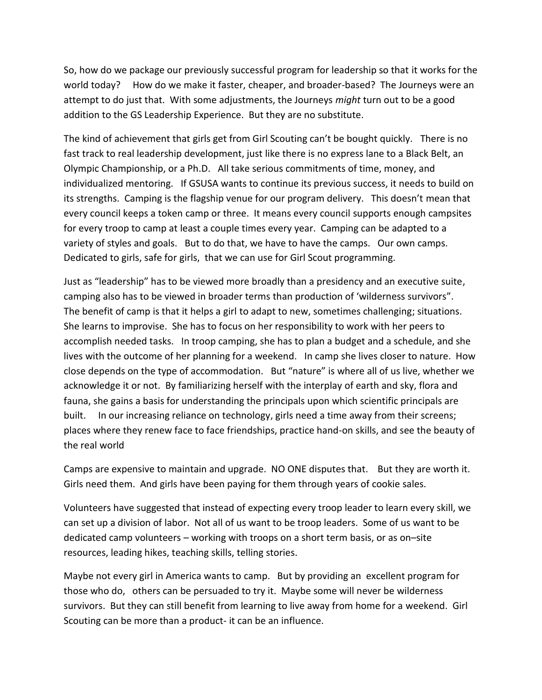So, how do we package our previously successful program for leadership so that it works for the world today? How do we make it faster, cheaper, and broader-based? The Journeys were an attempt to do just that. With some adjustments, the Journeys *might* turn out to be a good addition to the GS Leadership Experience. But they are no substitute.

The kind of achievement that girls get from Girl Scouting can't be bought quickly. There is no fast track to real leadership development, just like there is no express lane to a Black Belt, an Olympic Championship, or a Ph.D. All take serious commitments of time, money, and individualized mentoring. If GSUSA wants to continue its previous success, it needs to build on its strengths. Camping is the flagship venue for our program delivery. This doesn't mean that every council keeps a token camp or three. It means every council supports enough campsites for every troop to camp at least a couple times every year. Camping can be adapted to a variety of styles and goals. But to do that, we have to have the camps. Our own camps. Dedicated to girls, safe for girls, that we can use for Girl Scout programming.

Just as "leadership" has to be viewed more broadly than a presidency and an executive suite, camping also has to be viewed in broader terms than production of 'wilderness survivors". The benefit of camp is that it helps a girl to adapt to new, sometimes challenging; situations. She learns to improvise. She has to focus on her responsibility to work with her peers to accomplish needed tasks. In troop camping, she has to plan a budget and a schedule, and she lives with the outcome of her planning for a weekend. In camp she lives closer to nature. How close depends on the type of accommodation. But "nature" is where all of us live, whether we acknowledge it or not. By familiarizing herself with the interplay of earth and sky, flora and fauna, she gains a basis for understanding the principals upon which scientific principals are built. In our increasing reliance on technology, girls need a time away from their screens; places where they renew face to face friendships, practice hand-on skills, and see the beauty of the real world

Camps are expensive to maintain and upgrade. NO ONE disputes that. But they are worth it. Girls need them. And girls have been paying for them through years of cookie sales.

Volunteers have suggested that instead of expecting every troop leader to learn every skill, we can set up a division of labor. Not all of us want to be troop leaders. Some of us want to be dedicated camp volunteers – working with troops on a short term basis, or as on–site resources, leading hikes, teaching skills, telling stories.

Maybe not every girl in America wants to camp. But by providing an excellent program for those who do, others can be persuaded to try it. Maybe some will never be wilderness survivors. But they can still benefit from learning to live away from home for a weekend. Girl Scouting can be more than a product- it can be an influence.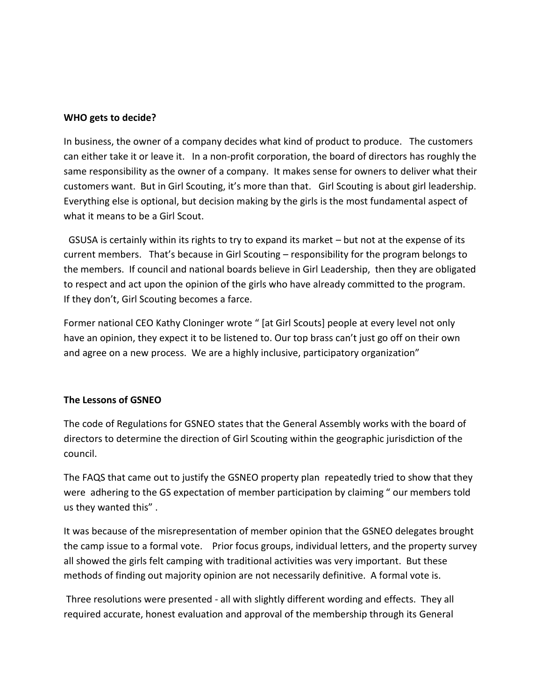### **WHO gets to decide?**

In business, the owner of a company decides what kind of product to produce. The customers can either take it or leave it. In a non-profit corporation, the board of directors has roughly the same responsibility as the owner of a company. It makes sense for owners to deliver what their customers want. But in Girl Scouting, it's more than that. Girl Scouting is about girl leadership. Everything else is optional, but decision making by the girls is the most fundamental aspect of what it means to be a Girl Scout.

GSUSA is certainly within its rights to try to expand its market – but not at the expense of its current members. That's because in Girl Scouting – responsibility for the program belongs to the members. If council and national boards believe in Girl Leadership, then they are obligated to respect and act upon the opinion of the girls who have already committed to the program. If they don't, Girl Scouting becomes a farce.

Former national CEO Kathy Cloninger wrote " [at Girl Scouts] people at every level not only have an opinion, they expect it to be listened to. Our top brass can't just go off on their own and agree on a new process. We are a highly inclusive, participatory organization"

## **The Lessons of GSNEO**

The code of Regulations for GSNEO states that the General Assembly works with the board of directors to determine the direction of Girl Scouting within the geographic jurisdiction of the council.

The FAQS that came out to justify the GSNEO property plan repeatedly tried to show that they were adhering to the GS expectation of member participation by claiming " our members told us they wanted this" .

It was because of the misrepresentation of member opinion that the GSNEO delegates brought the camp issue to a formal vote. Prior focus groups, individual letters, and the property survey all showed the girls felt camping with traditional activities was very important. But these methods of finding out majority opinion are not necessarily definitive. A formal vote is.

Three resolutions were presented - all with slightly different wording and effects. They all required accurate, honest evaluation and approval of the membership through its General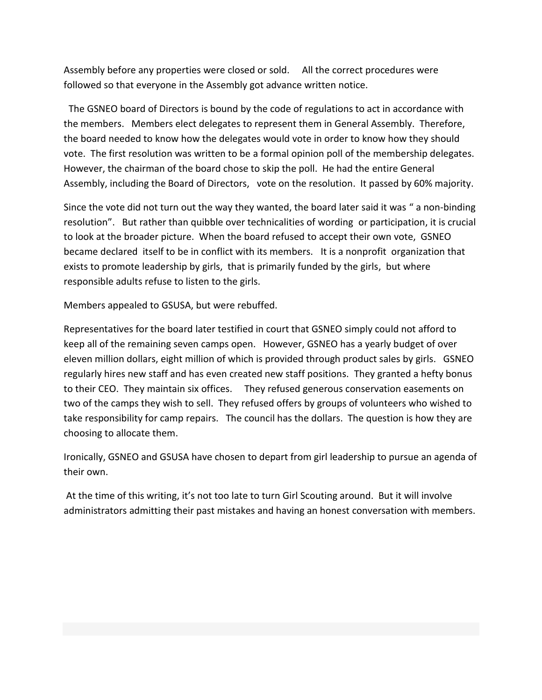Assembly before any properties were closed or sold. All the correct procedures were followed so that everyone in the Assembly got advance written notice.

The GSNEO board of Directors is bound by the code of regulations to act in accordance with the members. Members elect delegates to represent them in General Assembly. Therefore, the board needed to know how the delegates would vote in order to know how they should vote. The first resolution was written to be a formal opinion poll of the membership delegates. However, the chairman of the board chose to skip the poll. He had the entire General Assembly, including the Board of Directors, vote on the resolution. It passed by 60% majority.

Since the vote did not turn out the way they wanted, the board later said it was " a non-binding resolution". But rather than quibble over technicalities of wording or participation, it is crucial to look at the broader picture. When the board refused to accept their own vote, GSNEO became declared itself to be in conflict with its members. It is a nonprofit organization that exists to promote leadership by girls, that is primarily funded by the girls, but where responsible adults refuse to listen to the girls.

Members appealed to GSUSA, but were rebuffed.

Representatives for the board later testified in court that GSNEO simply could not afford to keep all of the remaining seven camps open. However, GSNEO has a yearly budget of over eleven million dollars, eight million of which is provided through product sales by girls. GSNEO regularly hires new staff and has even created new staff positions. They granted a hefty bonus to their CEO. They maintain six offices. They refused generous conservation easements on two of the camps they wish to sell. They refused offers by groups of volunteers who wished to take responsibility for camp repairs. The council has the dollars. The question is how they are choosing to allocate them.

Ironically, GSNEO and GSUSA have chosen to depart from girl leadership to pursue an agenda of their own.

At the time of this writing, it's not too late to turn Girl Scouting around. But it will involve administrators admitting their past mistakes and having an honest conversation with members.